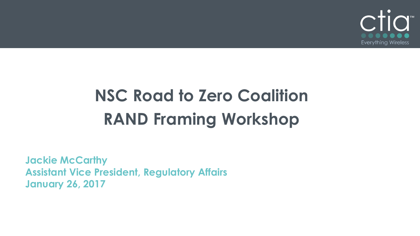

## **NSC Road to Zero Coalition RAND Framing Workshop**

**Jackie McCarthy Assistant Vice President, Regulatory Affairs January 26, 2017**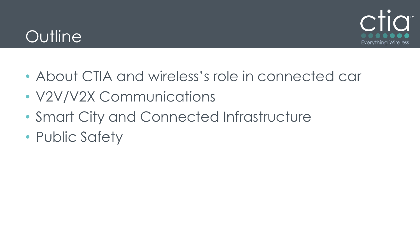## **Outline**



- About CTIA and wireless's role in connected car
- V2V/V2X Communications
- Smart City and Connected Infrastructure
- Public Safety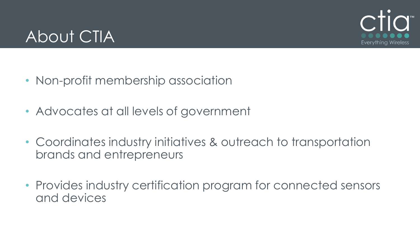

## About CTIA

- Non-profit membership association
- Advocates at all levels of government
- Coordinates industry initiatives & outreach to transportation brands and entrepreneurs
- Provides industry certification program for connected sensors and devices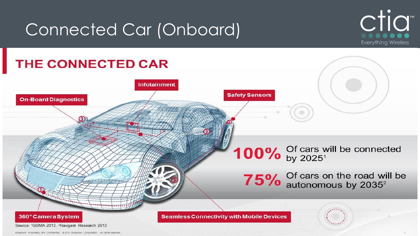## Connected Car (Onboard)



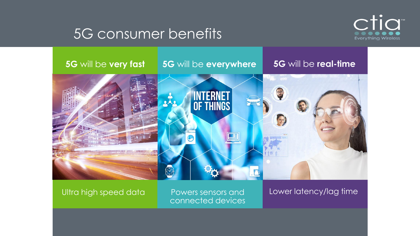

### 5G consumer benefits

# **5G** will be **very fast 5G** will be **everywhere 5G** will be **real-time** S **INTERNET<br>OF THINGS**

#### Ultra high speed data

Powers sensors and connected devices Lower latency/lag time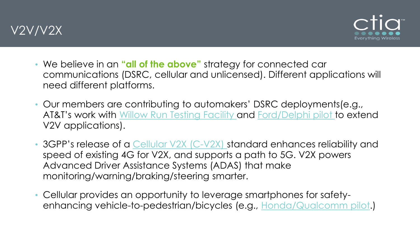



- We believe in an **"all of the above"** strategy for connected car communications (DSRC, cellular and unlicensed). Different applications will need different platforms.
- Our members are contributing to automakers' DSRC deployments(e.g., AT&T's work with [Willow Run Testing Facility a](http://www.theverge.com/ces/2017/1/4/14166534/att-self-driving-car-american-center-mobility-v2x)nd [Ford/Delphi pilot](http://www.prnewswire.com/news-releases/att-delphi-and-ford-debut-v2x-advanced-vehicle-communications-300385542.html) to extend V2V applications).
- 3GPP's release of a [Cellular V2X \(C-V2X\)](http://www.3gpp.org/news-events/3gpp-news/1798-v2x_r14) standard enhances reliability and speed of existing 4G for V2X, and supports a path to 5G. V2X powers Advanced Driver Assistance Systems (ADAS) that make monitoring/warning/braking/steering smarter.
- Cellular provides an opportunity to leverage smartphones for safetyenhancing vehicle-to-pedestrian/bicycles (e.g., [Honda/Qualcomm pilot](https://www.qualcomm.com/news/snapdragon/2015/06/16/how-snapdragon-and-honda-are-working-save-lives-smartphones).)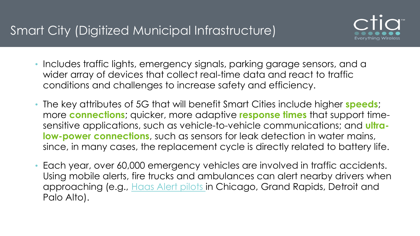

- Includes traffic lights, emergency signals, parking garage sensors, and a wider array of devices that collect real-time data and react to traffic conditions and challenges to increase safety and efficiency.
- The key attributes of 5G that will benefit Smart Cities include higher **speeds**; more **connections**; quicker, more adaptive **response times** that support timesensitive applications, such as vehicle-to-vehicle communications; and **ultralow-power connections**, such as sensors for leak detection in water mains, since, in many cases, the replacement cycle is directly related to battery life.
- Each year, over 60,000 emergency vehicles are involved in traffic accidents. Using mobile alerts, fire trucks and ambulances can alert nearby drivers when approaching (e.g., [Haas Alert pilots i](http://www.haasalert.com/V2V/blog/haas-alert-is-working-with-four-fire-departments-on-its-vehicle-to-vehicle-technology)n Chicago, Grand Rapids, Detroit and Palo Alto).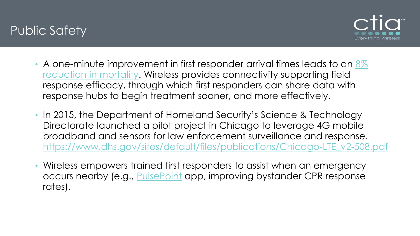#### Public Safety



- A one-minute improvement in first responder arrival times leads to an  $8\%$ [reduction in mortality. Wireless provides connectivity supporting field](https://www.ncbi.nlm.nih.gov/pubmed/22700368)  response efficacy, through which first responders can share data with response hubs to begin treatment sooner, and more effectively.
- In 2015, the Department of Homeland Security's Science & Technology Directorate launched a pilot project in Chicago to leverage 4G mobile broadband and sensors for law enforcement surveillance and response. [https://www.dhs.gov/sites/default/files/publications/Chicago-LTE\\_v2-508.pdf](https://www.dhs.gov/sites/default/files/publications/Chicago-LTE_v2-508.pdf)
- Wireless empowers trained first responders to assist when an emergency occurs nearby (e.g., [PulsePoint](http://www.pulsepoint.org/) app, improving bystander CPR response rates).